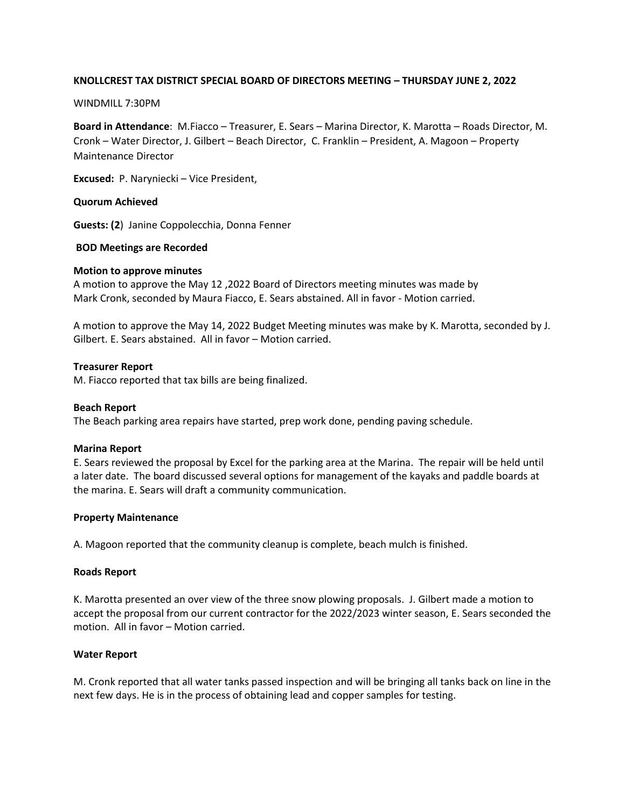## **KNOLLCREST TAX DISTRICT SPECIAL BOARD OF DIRECTORS MEETING – THURSDAY JUNE 2, 2022**

#### WINDMILL 7:30PM

**Board in Attendance**: M.Fiacco – Treasurer, E. Sears – Marina Director, K. Marotta – Roads Director, M. Cronk – Water Director, J. Gilbert – Beach Director, C. Franklin – President, A. Magoon – Property Maintenance Director

**Excused:** P. Naryniecki – Vice President,

### **Quorum Achieved**

**Guests: (2**) Janine Coppolecchia, Donna Fenner

## **BOD Meetings are Recorded**

#### **Motion to approve minutes**

A motion to approve the May 12 ,2022 Board of Directors meeting minutes was made by Mark Cronk, seconded by Maura Fiacco, E. Sears abstained. All in favor - Motion carried.

A motion to approve the May 14, 2022 Budget Meeting minutes was make by K. Marotta, seconded by J. Gilbert. E. Sears abstained. All in favor – Motion carried.

## **Treasurer Report**

M. Fiacco reported that tax bills are being finalized.

#### **Beach Report**

The Beach parking area repairs have started, prep work done, pending paving schedule.

#### **Marina Report**

E. Sears reviewed the proposal by Excel for the parking area at the Marina. The repair will be held until a later date. The board discussed several options for management of the kayaks and paddle boards at the marina. E. Sears will draft a community communication.

## **Property Maintenance**

A. Magoon reported that the community cleanup is complete, beach mulch is finished.

#### **Roads Report**

K. Marotta presented an over view of the three snow plowing proposals. J. Gilbert made a motion to accept the proposal from our current contractor for the 2022/2023 winter season, E. Sears seconded the motion. All in favor – Motion carried.

#### **Water Report**

M. Cronk reported that all water tanks passed inspection and will be bringing all tanks back on line in the next few days. He is in the process of obtaining lead and copper samples for testing.